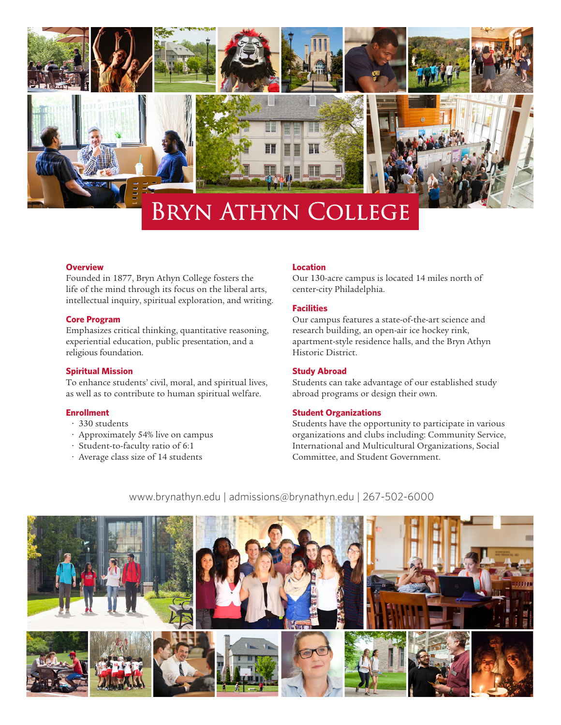

# Bryn Athyn College

# **Overview**

Founded in 1877, Bryn Athyn College fosters the life of the mind through its focus on the liberal arts, intellectual inquiry, spiritual exploration, and writing.

#### **Core Program**

Emphasizes critical thinking, quantitative reasoning, experiential education, public presentation, and a religious foundation.

## **Spiritual Mission**

To enhance students' civil, moral, and spiritual lives, as well as to contribute to human spiritual welfare.

#### **Enrollment**

- 330 students
- Approximately 54% live on campus
- Student-to-faculty ratio of 6:1
- Average class size of 14 students

#### **Location**

Our 130-acre campus is located 14 miles north of center-city Philadelphia.

#### **Facilities**

Our campus features a state-of-the-art science and research building, an open-air ice hockey rink, apartment-style residence halls, and the Bryn Athyn Historic District.

#### **Study Abroad**

Students can take advantage of our established study abroad programs or design their own.

#### **Student Organizations**

Students have the opportunity to participate in various organizations and clubs including: Community Service, International and Multicultural Organizations, Social Committee, and Student Government.



www.brynathyn.edu | admissions@brynathyn.edu | 267-502-6000